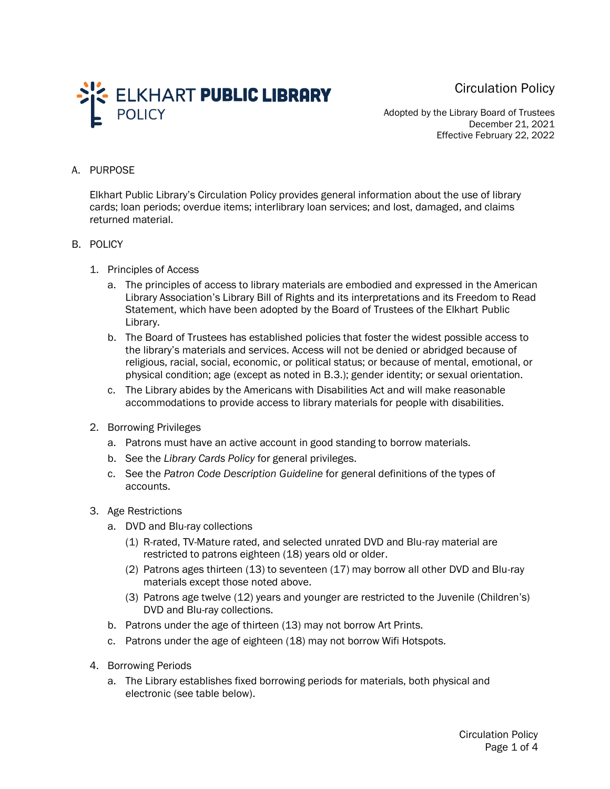Circulation Policy



Adopted by the Library Board of Trustees December 21, 2021 Effective February 22, 2022

## A. PURPOSE

Elkhart Public Library's Circulation Policy provides general information about the use of library cards; loan periods; overdue items; interlibrary loan services; and lost, damaged, and claims returned material.

## B. POLICY

- 1. Principles of Access
	- a. The principles of access to library materials are embodied and expressed in the American Library Association's Library Bill of Rights and its interpretations and its Freedom to Read Statement, which have been adopted by the Board of Trustees of the Elkhart Public Library.
	- b. The Board of Trustees has established policies that foster the widest possible access to the library's materials and services. Access will not be denied or abridged because of religious, racial, social, economic, or political status; or because of mental, emotional, or physical condition; age (except as noted in B.3.); gender identity; or sexual orientation.
	- c. The Library abides by the Americans with Disabilities Act and will make reasonable accommodations to provide access to library materials for people with disabilities.
- 2. Borrowing Privileges
	- a. Patrons must have an active account in good standing to borrow materials.
	- b. See the *Library Cards Policy* for general privileges.
	- c. See the *Patron Code Description Guideline* for general definitions of the types of accounts.
- 3. Age Restrictions
	- a. DVD and Blu-ray collections
		- (1) R-rated, TV-Mature rated, and selected unrated DVD and Blu-ray material are restricted to patrons eighteen (18) years old or older.
		- (2) Patrons ages thirteen (13) to seventeen (17) may borrow all other DVD and Blu-ray materials except those noted above.
		- (3) Patrons age twelve (12) years and younger are restricted to the Juvenile (Children's) DVD and Blu-ray collections.
	- b. Patrons under the age of thirteen (13) may not borrow Art Prints.
	- c. Patrons under the age of eighteen (18) may not borrow Wifi Hotspots.
- 4. Borrowing Periods
	- a. The Library establishes fixed borrowing periods for materials, both physical and electronic (see table below).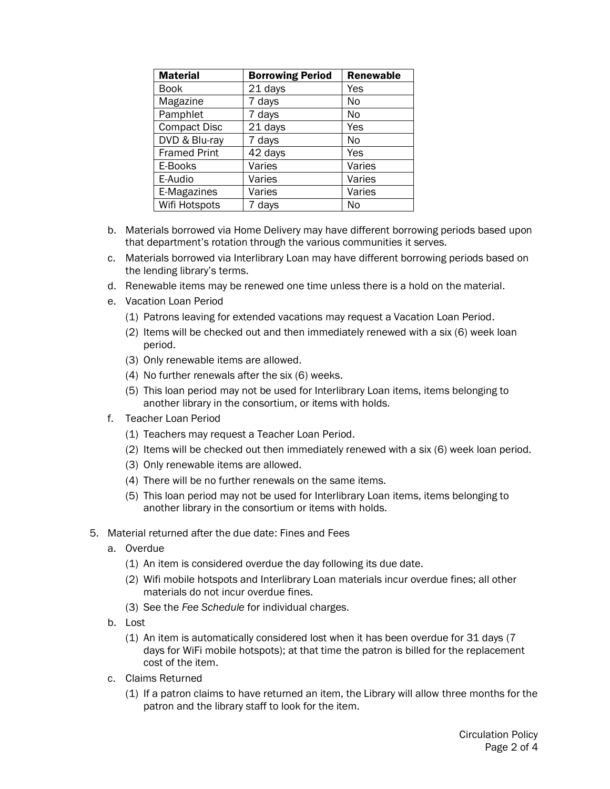| <b>Material</b>     | <b>Borrowing Period</b> | <b>Renewable</b> |
|---------------------|-------------------------|------------------|
| Book                | 21 days                 | Yes              |
| Magazine            | 7 days                  | No               |
| Pamphlet            | 7 days                  | No               |
| <b>Compact Disc</b> | 21 days                 | Yes              |
| DVD & Blu-ray       | 7 days                  | No               |
| <b>Framed Print</b> | 42 days                 | Yes              |
| E-Books             | Varies                  | Varies           |
| E-Audio             | Varies                  | Varies           |
| E-Magazines         | Varies                  | Varies           |
| Wifi Hotspots       | 7 days                  | No               |

- b. Materials borrowed via Home Delivery may have different borrowing periods based upon that department's rotation through the various communities it serves.
- c. Materials borrowed via Interlibrary Loan may have different borrowing periods based on the lending library's terms.
- d. Renewable items may be renewed one time unless there is a hold on the material.
- e. Vacation Loan Period
	- (1) Patrons leaving for extended vacations may request a Vacation Loan Period.
	- (2) Items will be checked out and then immediately renewed with a six (6) week loan period.
	- (3) Only renewable items are allowed.
	- (4) No further renewals after the six (6) weeks.
	- (5) This loan period may not be used for Interlibrary Loan items, items belonging to another library in the consortium, or items with holds.
- f. Teacher Loan Period
	- (1) Teachers may request a Teacher Loan Period.
	- (2) Items will be checked out then immediately renewed with a six (6) week loan period.
	- (3) Only renewable items are allowed.
	- (4) There will be no further renewals on the same items.
	- (5) This loan period may not be used for Interlibrary Loan items, items belonging to another library in the consortium or items with holds.
- 5. Material returned after the due date: Fines and Fees
	- a. Overdue
		- (1) An item is considered overdue the day following its due date.
		- (2) Wifi mobile hotspots and Interlibrary Loan materials incur overdue fines; all other materials do not incur overdue fines.
		- (3) See the *Fee Schedule* for individual charges.
	- b. Lost
		- (1) An item is automatically considered lost when it has been overdue for 31 days (7 days for WiFi mobile hotspots); at that time the patron is billed for the replacement cost of the item.
	- c. Claims Returned
		- (1) If a patron claims to have returned an item, the Library will allow three months for the patron and the library staff to look for the item.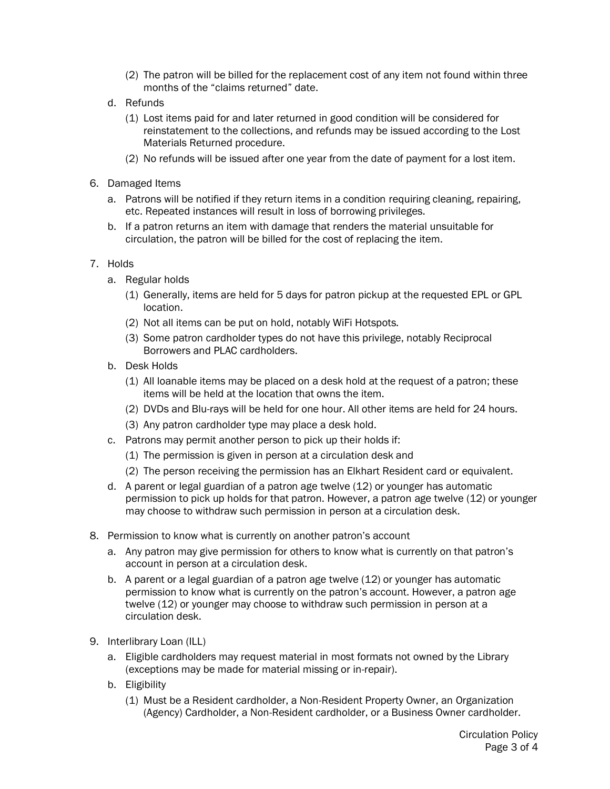- (2) The patron will be billed for the replacement cost of any item not found within three months of the "claims returned" date.
- d. Refunds
	- (1) Lost items paid for and later returned in good condition will be considered for reinstatement to the collections, and refunds may be issued according to the Lost Materials Returned procedure.
	- (2) No refunds will be issued after one year from the date of payment for a lost item.
- 6. Damaged Items
	- a. Patrons will be notified if they return items in a condition requiring cleaning, repairing, etc. Repeated instances will result in loss of borrowing privileges.
	- b. If a patron returns an item with damage that renders the material unsuitable for circulation, the patron will be billed for the cost of replacing the item.

## 7. Holds

- a. Regular holds
	- (1) Generally, items are held for 5 days for patron pickup at the requested EPL or GPL location.
	- (2) Not all items can be put on hold, notably WiFi Hotspots.
	- (3) Some patron cardholder types do not have this privilege, notably Reciprocal Borrowers and PLAC cardholders.
- b. Desk Holds
	- (1) All loanable items may be placed on a desk hold at the request of a patron; these items will be held at the location that owns the item.
	- (2) DVDs and Blu-rays will be held for one hour. All other items are held for 24 hours.
	- (3) Any patron cardholder type may place a desk hold.
- c. Patrons may permit another person to pick up their holds if:
	- (1) The permission is given in person at a circulation desk and
	- (2) The person receiving the permission has an Elkhart Resident card or equivalent.
- d. A parent or legal guardian of a patron age twelve (12) or younger has automatic permission to pick up holds for that patron. However, a patron age twelve (12) or younger may choose to withdraw such permission in person at a circulation desk.
- 8. Permission to know what is currently on another patron's account
	- a. Any patron may give permission for others to know what is currently on that patron's account in person at a circulation desk.
	- b. A parent or a legal guardian of a patron age twelve (12) or younger has automatic permission to know what is currently on the patron's account. However, a patron age twelve (12) or younger may choose to withdraw such permission in person at a circulation desk.
- 9. Interlibrary Loan (ILL)
	- a. Eligible cardholders may request material in most formats not owned by the Library (exceptions may be made for material missing or in-repair).
	- b. Eligibility
		- (1) Must be a Resident cardholder, a Non-Resident Property Owner, an Organization (Agency) Cardholder, a Non-Resident cardholder, or a Business Owner cardholder.